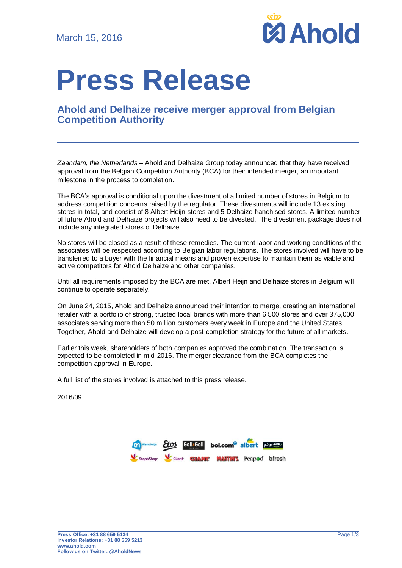

# **Press Release**

## **Ahold and Delhaize receive merger approval from Belgian Competition Authority**

*Zaandam, the Netherlands* – Ahold and Delhaize Group today announced that they have received approval from the Belgian Competition Authority (BCA) for their intended merger, an important milestone in the process to completion.

The BCA's approval is conditional upon the divestment of a limited number of stores in Belgium to address competition concerns raised by the regulator. These divestments will include 13 existing stores in total, and consist of 8 Albert Heijn stores and 5 Delhaize franchised stores. A limited number of future Ahold and Delhaize projects will also need to be divested. The divestment package does not include any integrated stores of Delhaize.

No stores will be closed as a result of these remedies. The current labor and working conditions of the associates will be respected according to Belgian labor regulations. The stores involved will have to be transferred to a buyer with the financial means and proven expertise to maintain them as viable and active competitors for Ahold Delhaize and other companies.

Until all requirements imposed by the BCA are met, Albert Heijn and Delhaize stores in Belgium will continue to operate separately.

On June 24, 2015, Ahold and Delhaize announced their intention to merge, creating an international retailer with a portfolio of strong, trusted local brands with more than 6,500 stores and over 375,000 associates serving more than 50 million customers every week in Europe and the United States. Together, Ahold and Delhaize will develop a post-completion strategy for the future of all markets.

Earlier this week, shareholders of both companies approved the combination. The transaction is expected to be completed in mid-2016. The merger clearance from the BCA completes the competition approval in Europe.

A full list of the stores involved is attached to this press release.

2016/09

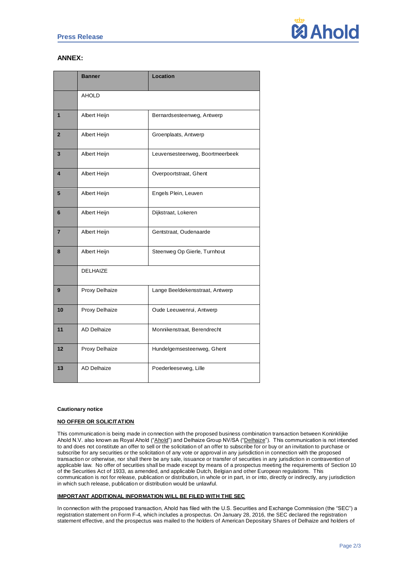

### **ANNEX:**

|                | <b>Banner</b>      | Location                        |
|----------------|--------------------|---------------------------------|
|                | <b>AHOLD</b>       |                                 |
| 1              | Albert Heijn       | Bernardsesteenweg, Antwerp      |
| $\overline{2}$ | Albert Heijn       | Groenplaats, Antwerp            |
| 3              | Albert Heijn       | Leuvensesteenweg, Boortmeerbeek |
| 4              | Albert Heijn       | Overpoortstraat, Ghent          |
| 5              | Albert Heijn       | Engels Plein, Leuven            |
| 6              | Albert Heijn       | Dijkstraat, Lokeren             |
| $\overline{7}$ | Albert Heijn       | Gentstraat, Oudenaarde          |
| 8              | Albert Heijn       | Steenweg Op Gierle, Turnhout    |
|                | <b>DELHAIZE</b>    |                                 |
| 9              | Proxy Delhaize     | Lange Beeldekensstraat, Antwerp |
| 10             | Proxy Delhaize     | Oude Leeuwenrui, Antwerp        |
| 11             | <b>AD Delhaize</b> | Monnikenstraat, Berendrecht     |
| 12             | Proxy Delhaize     | Hundelgemsesteenweg, Ghent      |
| 13             | <b>AD Delhaize</b> | Poederleeseweg, Lille           |

#### **Cautionary notice**

#### **NO OFFER OR SOLICITATION**

This communication is being made in connection with the proposed business combination transaction between Koninklijke Ahold N.V. also known as Royal Ahold ("Ahold") and Delhaize Group NV/SA ("Delhaize"). This communication is not intended to and does not constitute an offer to sell or the solicitation of an offer to subscribe for or buy or an invitation to purchase or subscribe for any securities or the solicitation of any vote or approval in any jurisdiction in connection with the proposed transaction or otherwise, nor shall there be any sale, issuance or transfer of securities in any jurisdiction in contravention of applicable law. No offer of securities shall be made except by means of a prospectus meeting the requirements of Section 10 of the Securities Act of 1933, as amended, and applicable Dutch, Belgian and other European regulations. This communication is not for release, publication or distribution, in whole or in part, in or into, directly or indirectly, any jurisdiction in which such release, publication or distribution would be unlawful.

#### **IMPORTANT ADDITIONAL INFORMATION WILL BE FILED WITH THE SEC**

In connection with the proposed transaction, Ahold has filed with the U.S. Securities and Exchange Commission (the "SEC") a registration statement on Form F-4, which includes a prospectus. On January 28, 2016, the SEC declared the registration statement effective, and the prospectus was mailed to the holders of American Depositary Shares of Delhaize and holders of